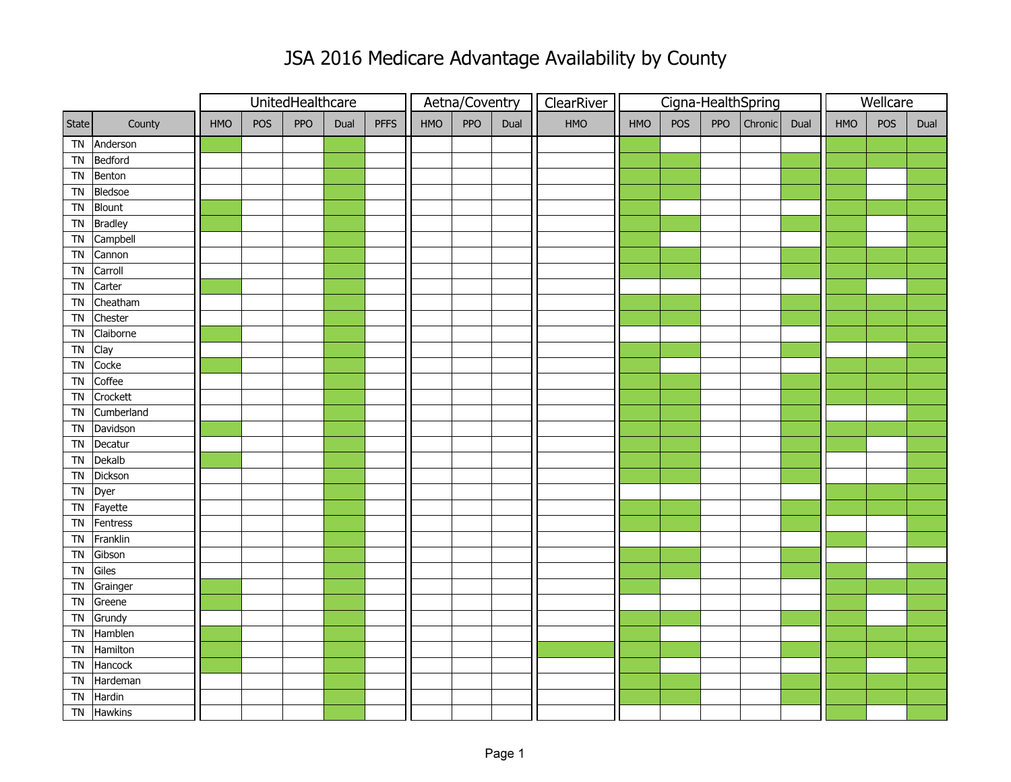## JSA 2016 Medicare Advantage Availability by County

|                |                |     |            | UnitedHealthcare |      |             | Aetna/Coventry |     |      | ClearRiver | Cigna-HealthSpring |     |     |         |      | Wellcare |            |      |  |
|----------------|----------------|-----|------------|------------------|------|-------------|----------------|-----|------|------------|--------------------|-----|-----|---------|------|----------|------------|------|--|
| State          | County         | HMO | <b>POS</b> | PPO              | Dual | <b>PFFS</b> | HMO            | PPO | Dual | HMO        | HMO                | POS | PPO | Chronic | Dual | HMO      | <b>POS</b> | Dual |  |
| <b>TN</b>      | Anderson       |     |            |                  |      |             |                |     |      |            |                    |     |     |         |      |          |            |      |  |
| <b>TN</b>      | Bedford        |     |            |                  |      |             |                |     |      |            |                    |     |     |         |      |          |            |      |  |
| <b>TN</b>      | Benton         |     |            |                  |      |             |                |     |      |            |                    |     |     |         |      |          |            |      |  |
| <b>TN</b>      | Bledsoe        |     |            |                  |      |             |                |     |      |            |                    |     |     |         |      |          |            |      |  |
| <b>TN</b>      | Blount         |     |            |                  |      |             |                |     |      |            |                    |     |     |         |      |          |            |      |  |
| TN             | <b>Bradley</b> |     |            |                  |      |             |                |     |      |            |                    |     |     |         |      |          |            |      |  |
| ${\sf TN}$     | Campbell       |     |            |                  |      |             |                |     |      |            |                    |     |     |         |      |          |            |      |  |
| <b>TN</b>      | Cannon         |     |            |                  |      |             |                |     |      |            |                    |     |     |         |      |          |            |      |  |
| <b>TN</b>      | Carroll        |     |            |                  |      |             |                |     |      |            |                    |     |     |         |      |          |            |      |  |
| <b>TN</b>      | Carter         |     |            |                  |      |             |                |     |      |            |                    |     |     |         |      |          |            |      |  |
| <b>TN</b>      | Cheatham       |     |            |                  |      |             |                |     |      |            |                    |     |     |         |      |          |            |      |  |
| <b>TN</b>      | Chester        |     |            |                  |      |             |                |     |      |            |                    |     |     |         |      |          |            |      |  |
| <b>TN</b>      | Claiborne      |     |            |                  |      |             |                |     |      |            |                    |     |     |         |      |          |            |      |  |
| TN             | Clay           |     |            |                  |      |             |                |     |      |            |                    |     |     |         |      |          |            |      |  |
| T <sub>N</sub> | Cocke          |     |            |                  |      |             |                |     |      |            |                    |     |     |         |      |          |            |      |  |
| <b>TN</b>      | Coffee         |     |            |                  |      |             |                |     |      |            |                    |     |     |         |      |          |            |      |  |
| <b>TN</b>      | Crockett       |     |            |                  |      |             |                |     |      |            |                    |     |     |         |      |          |            |      |  |
| <b>TN</b>      | Cumberland     |     |            |                  |      |             |                |     |      |            |                    |     |     |         |      |          |            |      |  |
| <b>TN</b>      | Davidson       |     |            |                  |      |             |                |     |      |            |                    |     |     |         |      |          |            |      |  |
| <b>TN</b>      | Decatur        |     |            |                  |      |             |                |     |      |            |                    |     |     |         |      |          |            |      |  |
| <b>TN</b>      | Dekalb         |     |            |                  |      |             |                |     |      |            |                    |     |     |         |      |          |            |      |  |
| <b>TN</b>      | Dickson        |     |            |                  |      |             |                |     |      |            |                    |     |     |         |      |          |            |      |  |
| TN             | Dyer           |     |            |                  |      |             |                |     |      |            |                    |     |     |         |      |          |            |      |  |
| <b>TN</b>      | Fayette        |     |            |                  |      |             |                |     |      |            |                    |     |     |         |      |          |            |      |  |
| TN             | Fentress       |     |            |                  |      |             |                |     |      |            |                    |     |     |         |      |          |            |      |  |
| <b>TN</b>      | Franklin       |     |            |                  |      |             |                |     |      |            |                    |     |     |         |      |          |            |      |  |
| <b>TN</b>      | Gibson         |     |            |                  |      |             |                |     |      |            |                    |     |     |         |      |          |            |      |  |
| <b>TN</b>      | Giles          |     |            |                  |      |             |                |     |      |            |                    |     |     |         |      |          |            |      |  |
| <b>TN</b>      | Grainger       |     |            |                  |      |             |                |     |      |            |                    |     |     |         |      |          |            |      |  |
| <b>TN</b>      | Greene         |     |            |                  |      |             |                |     |      |            |                    |     |     |         |      |          |            |      |  |
| ${\sf TN}$     | Grundy         |     |            |                  |      |             |                |     |      |            |                    |     |     |         |      |          |            |      |  |
| <b>TN</b>      | Hamblen        |     |            |                  |      |             |                |     |      |            |                    |     |     |         |      |          |            |      |  |
| <b>TN</b>      | Hamilton       |     |            |                  |      |             |                |     |      |            |                    |     |     |         |      |          |            |      |  |
| <b>TN</b>      | Hancock        |     |            |                  |      |             |                |     |      |            |                    |     |     |         |      |          |            |      |  |
| <b>TN</b>      | Hardeman       |     |            |                  |      |             |                |     |      |            |                    |     |     |         |      |          |            |      |  |
| <b>TN</b>      | Hardin         |     |            |                  |      |             |                |     |      |            |                    |     |     |         |      |          |            |      |  |
| <b>TN</b>      | <b>Hawkins</b> |     |            |                  |      |             |                |     |      |            |                    |     |     |         |      |          |            |      |  |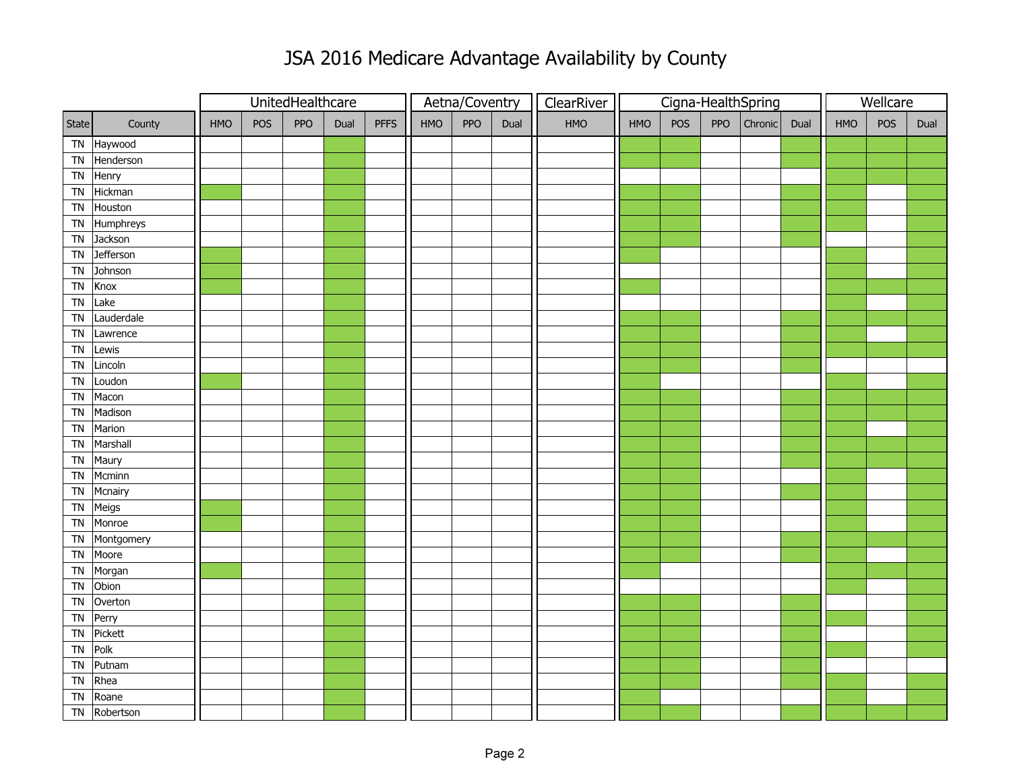## JSA 2016 Medicare Advantage Availability by County

|            |            |            |     | UnitedHealthcare |      |             | Aetna/Coventry |     |      | ClearRiver |     | Cigna-HealthSpring |     | Wellcare |      |            |            |      |
|------------|------------|------------|-----|------------------|------|-------------|----------------|-----|------|------------|-----|--------------------|-----|----------|------|------------|------------|------|
| State      | County     | <b>HMO</b> | POS | <b>PPO</b>       | Dual | <b>PFFS</b> | HMO            | PPO | Dual | <b>HMO</b> | HMO | POS                | PPO | Chronic  | Dual | <b>HMO</b> | <b>POS</b> | Dual |
|            | TN Haywood |            |     |                  |      |             |                |     |      |            |     |                    |     |          |      |            |            |      |
| ${\sf TN}$ | Henderson  |            |     |                  |      |             |                |     |      |            |     |                    |     |          |      |            |            |      |
| TN         | Henry      |            |     |                  |      |             |                |     |      |            |     |                    |     |          |      |            |            |      |
| <b>TN</b>  | Hickman    |            |     |                  |      |             |                |     |      |            |     |                    |     |          |      |            |            |      |
| <b>TN</b>  | Houston    |            |     |                  |      |             |                |     |      |            |     |                    |     |          |      |            |            |      |
| <b>TN</b>  | Humphreys  |            |     |                  |      |             |                |     |      |            |     |                    |     |          |      |            |            |      |
| <b>TN</b>  | Jackson    |            |     |                  |      |             |                |     |      |            |     |                    |     |          |      |            |            |      |
| <b>TN</b>  | Jefferson  |            |     |                  |      |             |                |     |      |            |     |                    |     |          |      |            |            |      |
| <b>TN</b>  | Johnson    |            |     |                  |      |             |                |     |      |            |     |                    |     |          |      |            |            |      |
| <b>TN</b>  | Knox       |            |     |                  |      |             |                |     |      |            |     |                    |     |          |      |            |            |      |
| <b>TN</b>  | Lake       |            |     |                  |      |             |                |     |      |            |     |                    |     |          |      |            |            |      |
| TN         | Lauderdale |            |     |                  |      |             |                |     |      |            |     |                    |     |          |      |            |            |      |
| <b>TN</b>  | Lawrence   |            |     |                  |      |             |                |     |      |            |     |                    |     |          |      |            |            |      |
| <b>TN</b>  | Lewis      |            |     |                  |      |             |                |     |      |            |     |                    |     |          |      |            |            |      |
| <b>TN</b>  | Lincoln    |            |     |                  |      |             |                |     |      |            |     |                    |     |          |      |            |            |      |
| ${\sf TN}$ | Loudon     |            |     |                  |      |             |                |     |      |            |     |                    |     |          |      |            |            |      |
| <b>TN</b>  | Macon      |            |     |                  |      |             |                |     |      |            |     |                    |     |          |      |            |            |      |
| TN         | Madison    |            |     |                  |      |             |                |     |      |            |     |                    |     |          |      |            |            |      |
| ${\sf TN}$ | Marion     |            |     |                  |      |             |                |     |      |            |     |                    |     |          |      |            |            |      |
| <b>TN</b>  | Marshall   |            |     |                  |      |             |                |     |      |            |     |                    |     |          |      |            |            |      |
| <b>TN</b>  | Maury      |            |     |                  |      |             |                |     |      |            |     |                    |     |          |      |            |            |      |
| <b>TN</b>  | Mcminn     |            |     |                  |      |             |                |     |      |            |     |                    |     |          |      |            |            |      |
| <b>TN</b>  | Mcnairy    |            |     |                  |      |             |                |     |      |            |     |                    |     |          |      |            |            |      |
| TN         | Meigs      |            |     |                  |      |             |                |     |      |            |     |                    |     |          |      |            |            |      |
| <b>TN</b>  | Monroe     |            |     |                  |      |             |                |     |      |            |     |                    |     |          |      |            |            |      |
| ${\sf TN}$ | Montgomery |            |     |                  |      |             |                |     |      |            |     |                    |     |          |      |            |            |      |
| TN         | Moore      |            |     |                  |      |             |                |     |      |            |     |                    |     |          |      |            |            |      |
| <b>TN</b>  | Morgan     |            |     |                  |      |             |                |     |      |            |     |                    |     |          |      |            |            |      |
| <b>TN</b>  | Obion      |            |     |                  |      |             |                |     |      |            |     |                    |     |          |      |            |            |      |
| <b>TN</b>  | Overton    |            |     |                  |      |             |                |     |      |            |     |                    |     |          |      |            |            |      |
| ${\sf TN}$ | Perry      |            |     |                  |      |             |                |     |      |            |     |                    |     |          |      |            |            |      |
| <b>TN</b>  | Pickett    |            |     |                  |      |             |                |     |      |            |     |                    |     |          |      |            |            |      |
| <b>TN</b>  | Polk       |            |     |                  |      |             |                |     |      |            |     |                    |     |          |      |            |            |      |
| <b>TN</b>  | Putnam     |            |     |                  |      |             |                |     |      |            |     |                    |     |          |      |            |            |      |
| TN         | Rhea       |            |     |                  |      |             |                |     |      |            |     |                    |     |          |      |            |            |      |
| <b>TN</b>  | Roane      |            |     |                  |      |             |                |     |      |            |     |                    |     |          |      |            |            |      |
| <b>TN</b>  | Robertson  |            |     |                  |      |             |                |     |      |            |     |                    |     |          |      |            |            |      |